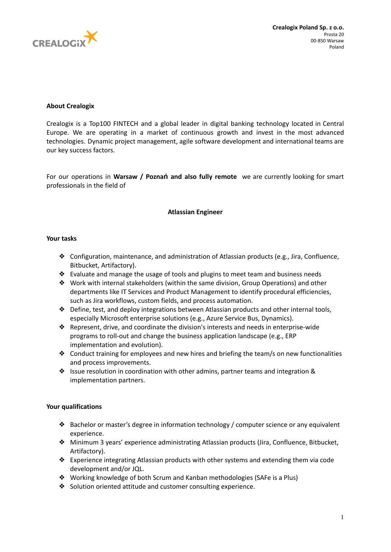

# **About Crealogix**

Crealogix is a Top100 FINTECH and a global leader in digital banking technology located in Central Europe. We are operating in a market of continuous growth and invest in the most advanced technologies. Dynamic project management, agile software development and international teams are our key success factors.

For our operations in **Warsaw / Poznań and also fully remote** we are currently looking for smart professionals in the field of

## **Atlassian Engineer**

#### **Your tasks**

- ❖ Configuration, maintenance, and administration of Atlassian products (e.g., Jira, Confluence, Bitbucket, Artifactory).
- $\triangle$  Evaluate and manage the usage of tools and plugins to meet team and business needs
- ❖ Work with internal stakeholders (within the same division, Group Operations) and other departments like IT Services and Product Management to identify procedural efficiencies, such as Jira workflows, custom fields, and process automation.
- ❖ Define, test, and deploy integrations between Atlassian products and other internal tools, especially Microsoft enterprise solutions (e.g., Azure Service Bus, Dynamics).
- ❖ Represent, drive, and coordinate the division's interests and needs in enterprise-wide programs to roll-out and change the business application landscape (e.g., ERP implementation and evolution).
- ❖ Conduct training for employees and new hires and briefing the team/s on new functionalities and process improvements.
- ❖ Issue resolution in coordination with other admins, partner teams and integration & implementation partners.

## **Your qualifications**

- ❖ Bachelor or master's degree in information technology / computer science or any equivalent experience.
- ❖ Minimum 3 years' experience administrating Atlassian products (Jira, Confluence, Bitbucket, Artifactory).
- ❖ Experience integrating Atlassian products with other systems and extending them via code development and/or JQL.
- ❖ Working knowledge of both Scrum and Kanban methodologies (SAFe is a Plus)
- ❖ Solution oriented attitude and customer consulting experience.